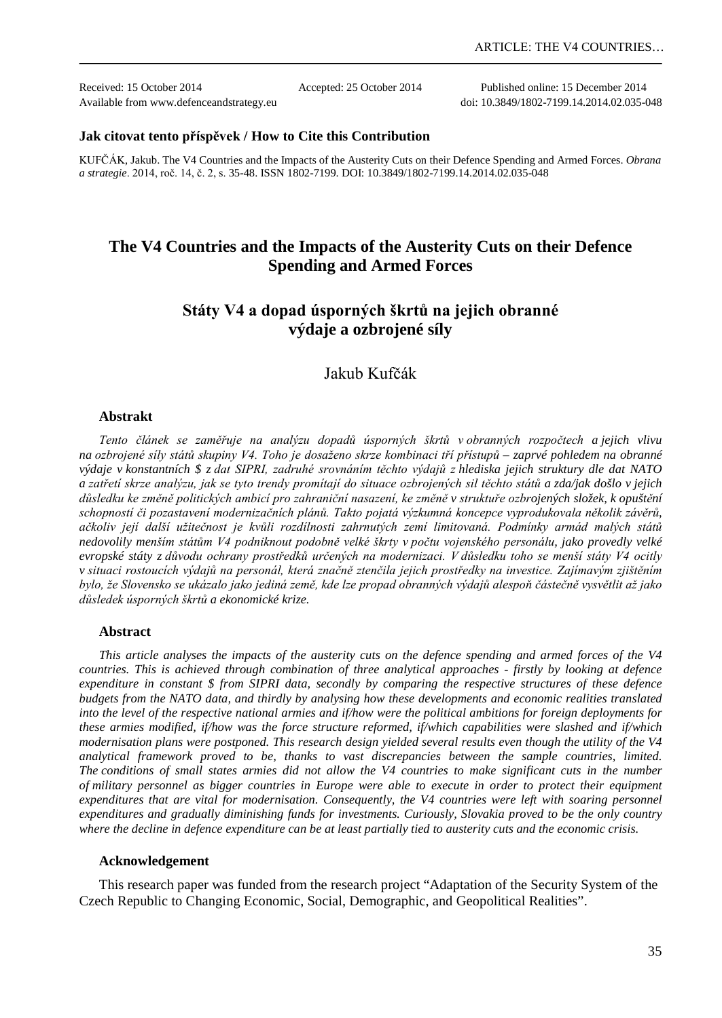Received: 15 October 2014 Accepted: 25 October 2014 Published online: 15 December 2014

Available from www.defenceandstrategy.eu doi: 10.3849/1802-7199.14.2014.02.035-048

#### **Jak citovat tento příspěvek / How to Cite this Contribution**

KUFČÁK, Jakub. The V4 Countries and the Impacts of the Austerity Cuts on their Defence Spending and Armed Forces. *Obrana a strategie*. 2014, roč. 14, č. 2, s. 35-48. ISSN 1802-7199. DOI: 10.3849/1802-7199.14.2014.02.035-048

# **The V4 Countries and the Impacts of the Austerity Cuts on their Defence Spending and Armed Forces**

# **Státy V4 a dopad úsporných škrtů na jejich obranné výdaje a ozbrojené síly**

# Jakub Kufčák

#### **Abstrakt**

*Tento článek se zaměřuje na analýzu dopadů úsporných škrtů v obranných rozpočtech a jejich vlivu na ozbrojené síly států skupiny V4. Toho je dosaženo skrze kombinaci tří přístupů – zaprvé pohledem na obranné výdaje v konstantních \$ z dat SIPRI, zadruhé srovnáním těchto výdajů z hlediska jejich struktury dle dat NATO a zatřetí skrze analýzu, jak se tyto trendy promítají do situace ozbrojených sil těchto států a zda/jak došlo v jejich důsledku ke změně politických ambicí pro zahraniční nasazení, ke změně v struktuře ozbrojených složek, k opuštění schopností či pozastavení modernizačních plánů. Takto pojatá výzkumná koncepce vyprodukovala několik závěrů, ačkoliv její další užitečnost je kvůli rozdílnosti zahrnutých zemí limitovaná. Podmínky armád malých států nedovolily menším státům V4 podniknout podobně velké škrty v počtu vojenského personálu, jako provedly velké evropské státy z důvodu ochrany prostředků určených na modernizaci. V důsledku toho se menší státy V4 ocitly v situaci rostoucích výdajů na personál, která značně ztenčila jejich prostředky na investice. Zajímavým zjištěním bylo, že Slovensko se ukázalo jako jediná země, kde lze propad obranných výdajů alespoň částečně vysvětlit až jako důsledek úsporných škrtů a ekonomické krize.* 

### **Abstract**

*This article analyses the impacts of the austerity cuts on the defence spending and armed forces of the V4 countries. This is achieved through combination of three analytical approaches - firstly by looking at defence expenditure in constant \$ from SIPRI data, secondly by comparing the respective structures of these defence budgets from the NATO data, and thirdly by analysing how these developments and economic realities translated into the level of the respective national armies and if/how were the political ambitions for foreign deployments for these armies modified, if/how was the force structure reformed, if/which capabilities were slashed and if/which modernisation plans were postponed. This research design yielded several results even though the utility of the V4 analytical framework proved to be, thanks to vast discrepancies between the sample countries, limited. The conditions of small states armies did not allow the V4 countries to make significant cuts in the number of military personnel as bigger countries in Europe were able to execute in order to protect their equipment*  expenditures that are vital for modernisation. Consequently, the V4 countries were left with soaring personnel *expenditures and gradually diminishing funds for investments. Curiously, Slovakia proved to be the only country where the decline in defence expenditure can be at least partially tied to austerity cuts and the economic crisis.*

#### **Acknowledgement**

This research paper was funded from the research project "Adaptation of the Security System of the Czech Republic to Changing Economic, Social, Demographic, and Geopolitical Realities".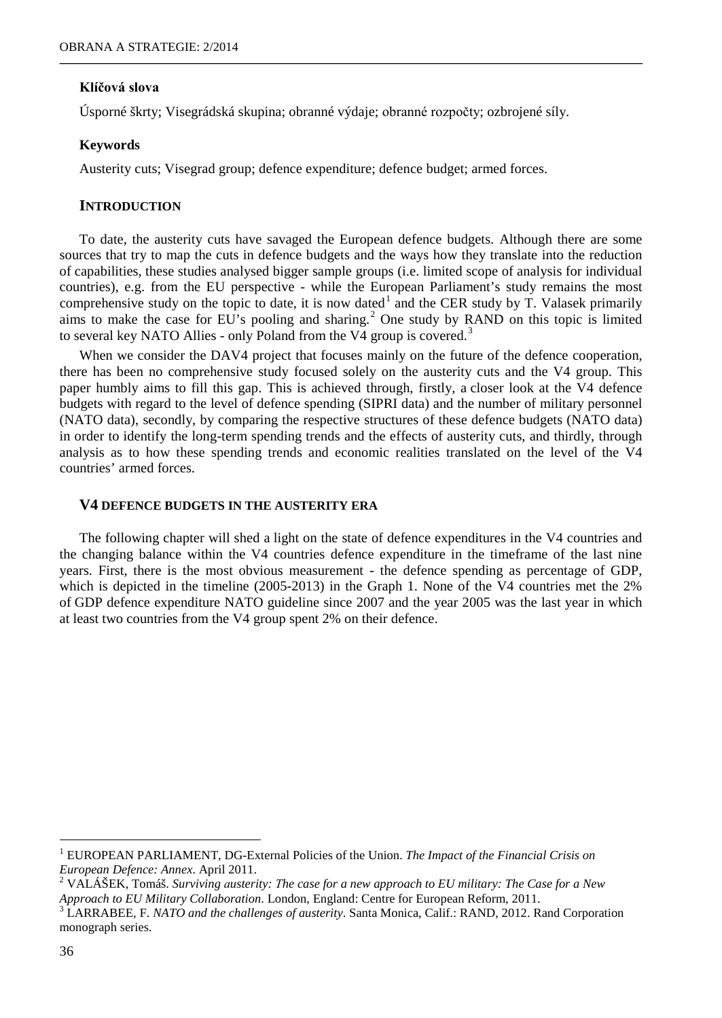### **Klíčová slova**

Úsporné škrty; Visegrádská skupina; obranné výdaje; obranné rozpočty; ozbrojené síly.

### **Keywords**

Austerity cuts; Visegrad group; defence expenditure; defence budget; armed forces.

### **INTRODUCTION**

To date, the austerity cuts have savaged the European defence budgets. Although there are some sources that try to map the cuts in defence budgets and the ways how they translate into the reduction of capabilities, these studies analysed bigger sample groups (i.e. limited scope of analysis for individual countries), e.g. from the EU perspective - while the European Parliament's study remains the most comprehensive study on the topic to date, it is now dated<sup>[1](#page-1-0)</sup> and the CER study by T. Valasek primarily aims to make the case for EU's pooling and sharing.<sup>[2](#page-1-1)</sup> One study by RAND on this topic is limited to several key NATO Allies - only Poland from the V4 group is covered.<sup>[3](#page-1-2)</sup>

When we consider the DAV4 project that focuses mainly on the future of the defence cooperation, there has been no comprehensive study focused solely on the austerity cuts and the V4 group. This paper humbly aims to fill this gap. This is achieved through, firstly, a closer look at the V4 defence budgets with regard to the level of defence spending (SIPRI data) and the number of military personnel (NATO data), secondly, by comparing the respective structures of these defence budgets (NATO data) in order to identify the long-term spending trends and the effects of austerity cuts, and thirdly, through analysis as to how these spending trends and economic realities translated on the level of the V4 countries' armed forces.

### **V4 DEFENCE BUDGETS IN THE AUSTERITY ERA**

The following chapter will shed a light on the state of defence expenditures in the V4 countries and the changing balance within the V4 countries defence expenditure in the timeframe of the last nine years. First, there is the most obvious measurement - the defence spending as percentage of GDP, which is depicted in the timeline (2005-2013) in the Graph 1. None of the V4 countries met the 2% of GDP defence expenditure NATO guideline since 2007 and the year 2005 was the last year in which at least two countries from the V4 group spent 2% on their defence.

<span id="page-1-0"></span><sup>1</sup> EUROPEAN PARLIAMENT, DG-External Policies of the Union. *The Impact of the Financial Crisis on European Defence: Annex. April 2011.*<br><sup>2</sup> VALÁŠEK, Tomáš. *Surviving austerity: The case for a new approach to EU military: The Case for a New* 

<span id="page-1-1"></span>

<span id="page-1-2"></span>*Approach to EU Military Collaboration*. London, England: Centre for European Reform, 2011. <sup>3</sup> LARRABEE, F. *NATO and the challenges of austerity*. Santa Monica, Calif.: RAND, 2012. Rand Corporation monograph series.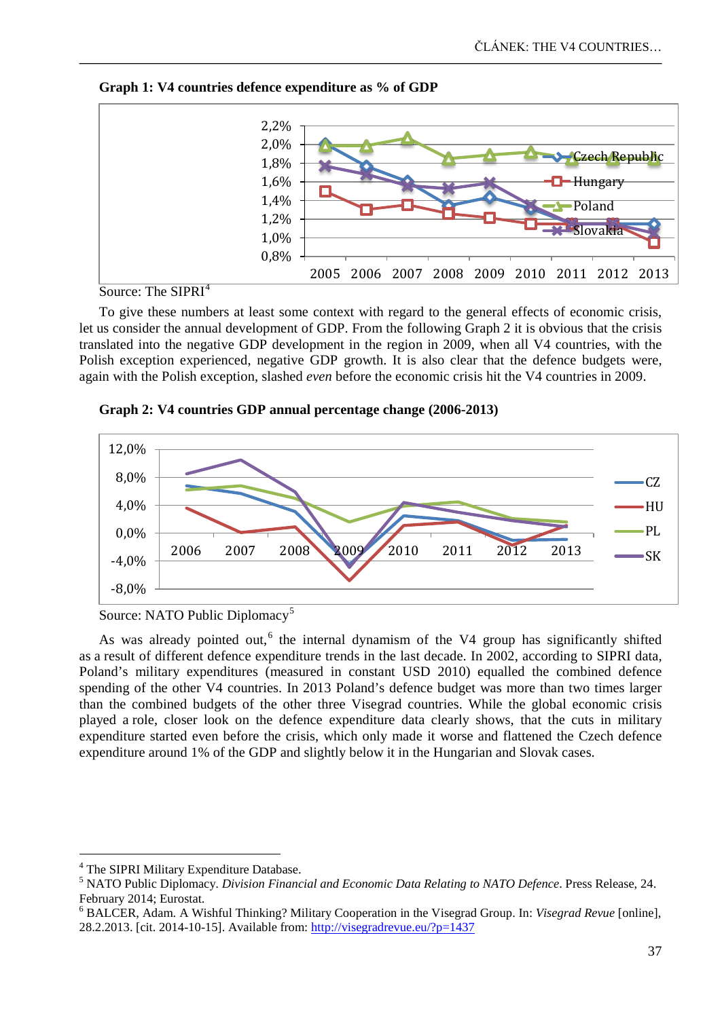



Source: The SIPRI<sup>[4](#page-2-0)</sup>

To give these numbers at least some context with regard to the general effects of economic crisis, let us consider the annual development of GDP. From the following Graph 2 it is obvious that the crisis translated into the negative GDP development in the region in 2009, when all V4 countries, with the Polish exception experienced, negative GDP growth. It is also clear that the defence budgets were, again with the Polish exception, slashed *even* before the economic crisis hit the V4 countries in 2009.



**Graph 2: V4 countries GDP annual percentage change (2006-2013)**

As was already pointed out,<sup>[6](#page-2-2)</sup> the internal dynamism of the V4 group has significantly shifted as a result of different defence expenditure trends in the last decade. In 2002, according to SIPRI data, Poland's military expenditures (measured in constant USD 2010) equalled the combined defence spending of the other V4 countries. In 2013 Poland's defence budget was more than two times larger than the combined budgets of the other three Visegrad countries. While the global economic crisis played a role, closer look on the defence expenditure data clearly shows, that the cuts in military expenditure started even before the crisis, which only made it worse and flattened the Czech defence expenditure around 1% of the GDP and slightly below it in the Hungarian and Slovak cases.

Source: NATO Public Diplomacy<sup>[5](#page-2-1)</sup>

<sup>&</sup>lt;sup>4</sup> The SIPRI Military Expenditure Database.  $\overline{a}$ 

<span id="page-2-1"></span><span id="page-2-0"></span><sup>5</sup> NATO Public Diplomacy. *Division Financial and Economic Data Relating to NATO Defence*. Press Release, 24. February 2014; Eurostat.<br><sup>6</sup> BALCER, Adam. A Wishful Thinking? Military Cooperation in the Visegrad Group. In: *Visegrad Revue* [online],

<span id="page-2-2"></span><sup>28.2.2013. [</sup>cit. 2014-10-15]. Available from[: http://visegradrevue.eu/?p=1437](http://visegradrevue.eu/?p=1437)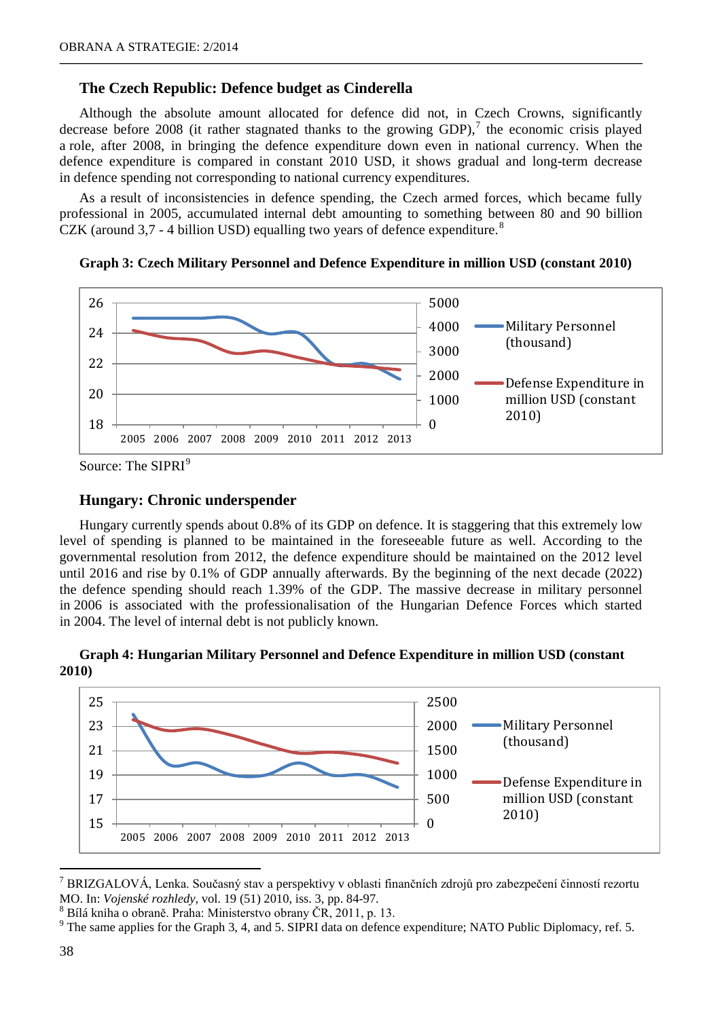# **The Czech Republic: Defence budget as Cinderella**

Although the absolute amount allocated for defence did not, in Czech Crowns, significantly decrease before 2008 (it rather stagnated thanks to the growing GDP),<sup>[7](#page-3-0)</sup> the economic crisis played a role, after 2008, in bringing the defence expenditure down even in national currency. When the defence expenditure is compared in constant 2010 USD, it shows gradual and long-term decrease in defence spending not corresponding to national currency expenditures.

As a result of inconsistencies in defence spending, the Czech armed forces, which became fully professional in 2005, accumulated internal debt amounting to something between 80 and 90 billion CZK (around  $3.7 - 4$  billion USD) equalling two years of defence expenditure.<sup>[8](#page-3-1)</sup>





Source: The SIPRI<sup>[9](#page-3-2)</sup>

### **Hungary: Chronic underspender**

Hungary currently spends about 0.8% of its GDP on defence. It is staggering that this extremely low level of spending is planned to be maintained in the foreseeable future as well. According to the governmental resolution from 2012, the defence expenditure should be maintained on the 2012 level until 2016 and rise by 0.1% of GDP annually afterwards. By the beginning of the next decade (2022) the defence spending should reach 1.39% of the GDP. The massive decrease in military personnel in 2006 is associated with the professionalisation of the Hungarian Defence Forces which started in 2004. The level of internal debt is not publicly known.





<span id="page-3-0"></span><sup>7</sup> BRIZGALOVÁ, Lenka. Současný stav a perspektivy v oblasti finančních zdrojů pro zabezpečení činností rezortu MO. In: *Vojenské rozhledy*, vol. 19 (51) 2010, iss. 3, pp. 84-97.<br><sup>8</sup> Bílá kniha o obraně. Praha: Ministerstvo obrany ČR, 2011, p. 13.<br><sup>9</sup> The same applies for the Graph 3, 4, and 5. SIPRI data on defence expenditure; NAT

l

<span id="page-3-1"></span>

<span id="page-3-2"></span>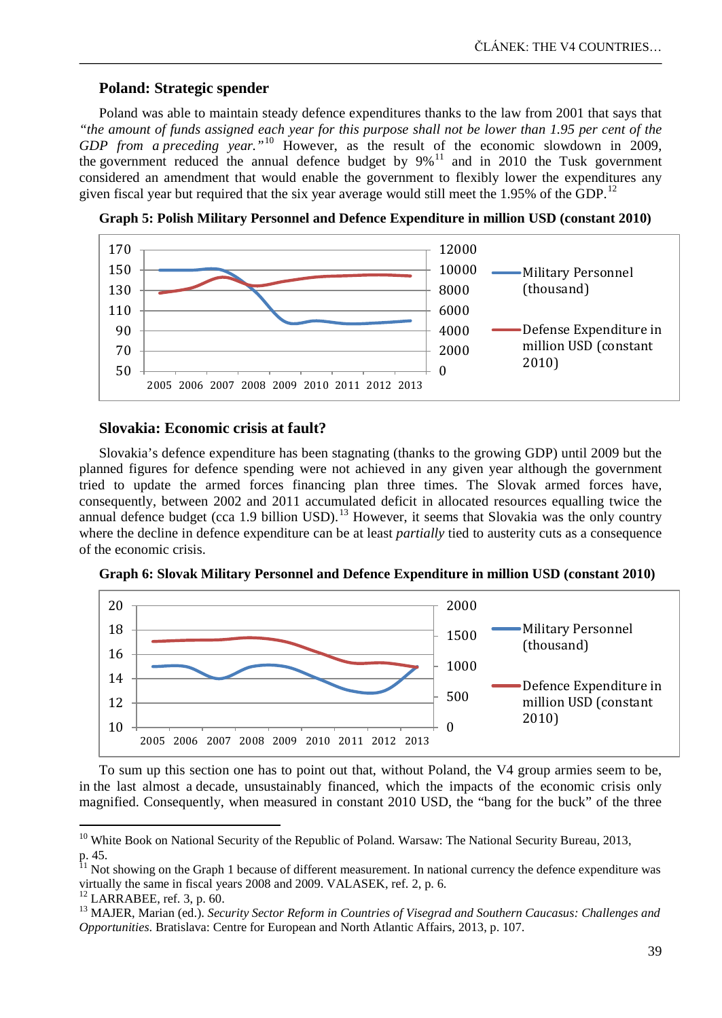# **Poland: Strategic spender**

Poland was able to maintain steady defence expenditures thanks to the law from 2001 that says that *"the amount of funds assigned each year for this purpose shall not be lower than 1.95 per cent of the GDP from a preceding year."*[10](#page-4-0) However, as the result of the economic slowdown in 2009, the government reduced the annual defence budget by  $9\%$ <sup>[11](#page-4-1)</sup> and in 2010 the Tusk government considered an amendment that would enable the government to flexibly lower the expenditures any given fiscal year but required that the six year average would still meet the 1.95% of the GDP.<sup>[12](#page-4-2)</sup>





# **Slovakia: Economic crisis at fault?**

Slovakia's defence expenditure has been stagnating (thanks to the growing GDP) until 2009 but the planned figures for defence spending were not achieved in any given year although the government tried to update the armed forces financing plan three times. The Slovak armed forces have, consequently, between 2002 and 2011 accumulated deficit in allocated resources equalling twice the annual defence budget (cca 1.9 billion USD).<sup>[13](#page-4-3)</sup> However, it seems that Slovakia was the only country where the decline in defence expenditure can be at least *partially* tied to austerity cuts as a consequence of the economic crisis.

**Graph 6: Slovak Military Personnel and Defence Expenditure in million USD (constant 2010)**



To sum up this section one has to point out that, without Poland, the V4 group armies seem to be, in the last almost a decade, unsustainably financed, which the impacts of the economic crisis only magnified. Consequently, when measured in constant 2010 USD, the "bang for the buck" of the three

<span id="page-4-0"></span><sup>&</sup>lt;sup>10</sup> White Book on National Security of the Republic of Poland. Warsaw: The National Security Bureau, 2013, p. 45.<br><sup>11</sup> Not showing on the Graph 1 because of different

<span id="page-4-1"></span><sup>&</sup>lt;sup>11</sup> Not showing on the Graph 1 because of different measurement. In national currency the defence expenditure was virtually the same in fiscal years 2008 and 2009. VALASEK, ref. 2, p. 6.

<span id="page-4-3"></span><span id="page-4-2"></span>

<sup>&</sup>lt;sup>12</sup> LARRABEE, ref. 3, p. 60.<br><sup>13</sup> MAJER, Marian (ed.). *Security Sector Reform in Countries of Visegrad and Southern Caucasus: Challenges and Opportunities*. Bratislava: Centre for European and North Atlantic Affairs, 2013, p. 107.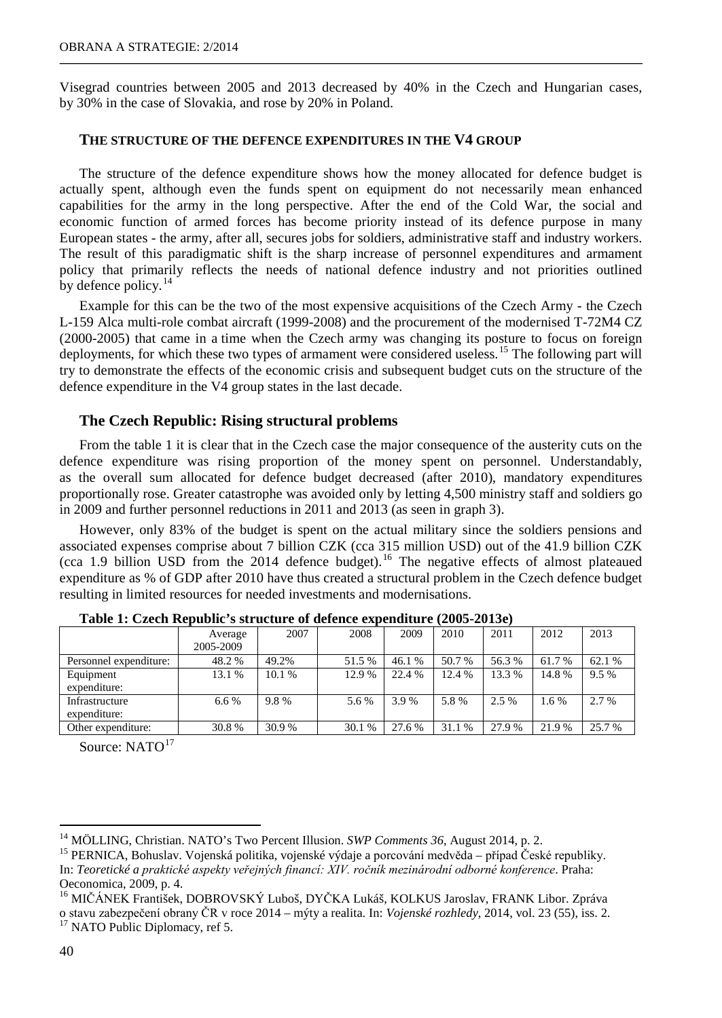Visegrad countries between 2005 and 2013 decreased by 40% in the Czech and Hungarian cases, by 30% in the case of Slovakia, and rose by 20% in Poland.

# **THE STRUCTURE OF THE DEFENCE EXPENDITURES IN THE V4 GROUP**

The structure of the defence expenditure shows how the money allocated for defence budget is actually spent, although even the funds spent on equipment do not necessarily mean enhanced capabilities for the army in the long perspective. After the end of the Cold War, the social and economic function of armed forces has become priority instead of its defence purpose in many European states - the army, after all, secures jobs for soldiers, administrative staff and industry workers. The result of this paradigmatic shift is the sharp increase of personnel expenditures and armament policy that primarily reflects the needs of national defence industry and not priorities outlined by defence policy.<sup>[14](#page-5-0)</sup>

Example for this can be the two of the most expensive acquisitions of the Czech Army - the Czech L-159 Alca multi-role combat aircraft (1999-2008) and the procurement of the modernised T-72M4 CZ (2000-2005) that came in a time when the Czech army was changing its posture to focus on foreign deployments, for which these two types of armament were considered useless.<sup>[15](#page-5-1)</sup> The following part will try to demonstrate the effects of the economic crisis and subsequent budget cuts on the structure of the defence expenditure in the V4 group states in the last decade.

### **The Czech Republic: Rising structural problems**

From the table 1 it is clear that in the Czech case the major consequence of the austerity cuts on the defence expenditure was rising proportion of the money spent on personnel. Understandably, as the overall sum allocated for defence budget decreased (after 2010), mandatory expenditures proportionally rose. Greater catastrophe was avoided only by letting 4,500 ministry staff and soldiers go in 2009 and further personnel reductions in 2011 and 2013 (as seen in graph 3).

However, only 83% of the budget is spent on the actual military since the soldiers pensions and associated expenses comprise about 7 billion CZK (cca 315 million USD) out of the 41.9 billion CZK (cca 1.9 billion USD from the 2014 defence budget).<sup>[16](#page-5-2)</sup> The negative effects of almost plateaued expenditure as % of GDP after 2010 have thus created a structural problem in the Czech defence budget resulting in limited resources for needed investments and modernisations.

|                                | Average<br>2005-2009 | 2007   | 2008   | 2009   | 2010   | 2011   | 2012   | 2013    |
|--------------------------------|----------------------|--------|--------|--------|--------|--------|--------|---------|
| Personnel expenditure:         | 48.2 %               | 49.2%  | 51.5 % | 46.1%  | 50.7 % | 56.3 % | 61.7 % | 62.1 %  |
| Equipment<br>expenditure:      | 13.1 %               | 10.1 % | 12.9 % | 22.4 % | 12.4 % | 13.3 % | 14.8%  | $9.5\%$ |
| Infrastructure<br>expenditure: | 6.6 %                | 9.8%   | 5.6 %  | 3.9 %  | 5.8%   | 2.5 %  | 1.6 %  | 2.7 %   |
| Other expenditure:             | 30.8%                | 30.9%  | 30.1 % | 27.6 % | 31.1 % | 27.9 % | 21.9%  | 25.7 %  |

**Table 1: Czech Republic's structure of defence expenditure (2005-2013e)**

Source: NATO<sup>[17](#page-5-3)</sup>

<span id="page-5-1"></span><span id="page-5-0"></span><sup>&</sup>lt;sup>14</sup> MÖLLING, Christian. NATO's Two Percent Illusion. *SWP Comments 36*, August 2014, p. 2.<br><sup>15</sup> PERNICA, Bohuslav. Vojenská politika, vojenské výdaje a porcování medvěda – případ České republiky. In: *Teoretické a praktické aspekty veřejných financí: XIV. ročník mezinárodní odborné konference*. Praha: Oeconomica, 2009, p. 4.

<span id="page-5-3"></span><span id="page-5-2"></span><sup>&</sup>lt;sup>16</sup> MIČÁNEK František, DOBROVSKÝ Luboš, DYČKA Lukáš, KOLKUS Jaroslav, FRANK Libor. Zpráva <sup>o</sup> stavu zabezpečení obrany ČR v roce 2014 – mýty a realita. In: *Vojenské rozhledy,* 2014, vol. 23 (55), iss. 2. <sup>17</sup> NATO Public Diplomacy, ref 5.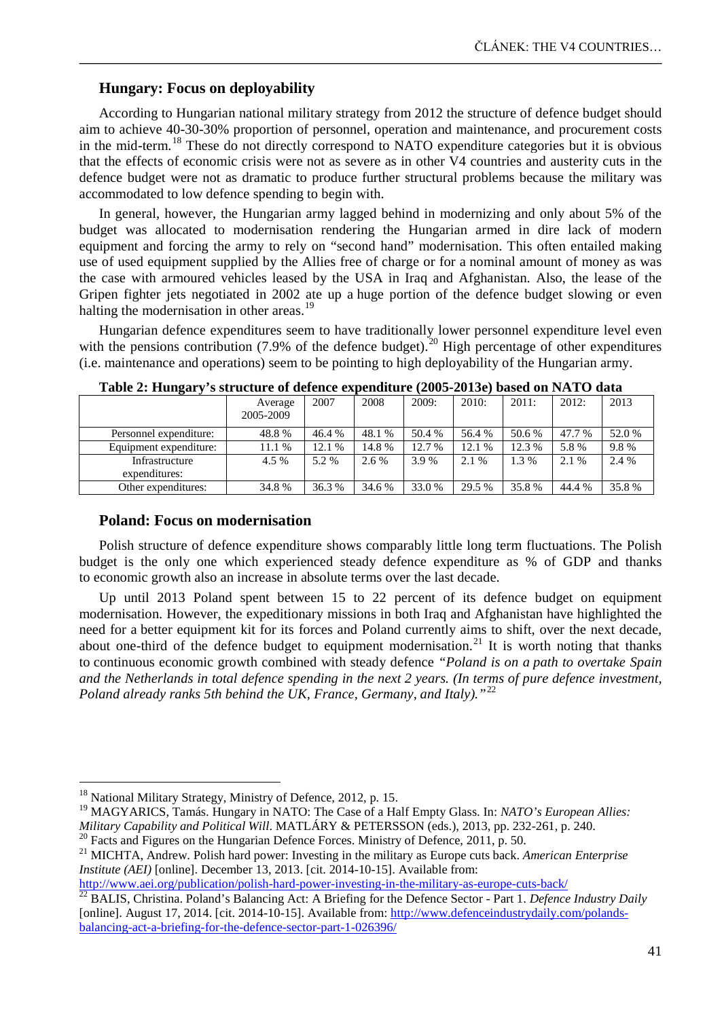### **Hungary: Focus on deployability**

According to Hungarian national military strategy from 2012 the structure of defence budget should aim to achieve 40-30-30% proportion of personnel, operation and maintenance, and procurement costs in the mid-term.<sup>[18](#page-6-0)</sup> These do not directly correspond to NATO expenditure categories but it is obvious that the effects of economic crisis were not as severe as in other V4 countries and austerity cuts in the defence budget were not as dramatic to produce further structural problems because the military was accommodated to low defence spending to begin with.

In general, however, the Hungarian army lagged behind in modernizing and only about 5% of the budget was allocated to modernisation rendering the Hungarian armed in dire lack of modern equipment and forcing the army to rely on "second hand" modernisation. This often entailed making use of used equipment supplied by the Allies free of charge or for a nominal amount of money as was the case with armoured vehicles leased by the USA in Iraq and Afghanistan. Also, the lease of the Gripen fighter jets negotiated in 2002 ate up a huge portion of the defence budget slowing or even halting the modernisation in other areas.<sup>[19](#page-6-1)</sup>

Hungarian defence expenditures seem to have traditionally lower personnel expenditure level even with the pensions contribution (7.9% of the defence budget).<sup>[20](#page-6-2)</sup> High percentage of other expenditures (i.e. maintenance and operations) seem to be pointing to high deployability of the Hungarian army.

| – ∙                             |                      |        |        |        |        |        |        |        |  |
|---------------------------------|----------------------|--------|--------|--------|--------|--------|--------|--------|--|
|                                 | Average<br>2005-2009 | 2007   | 2008   | 2009:  | 2010:  | 2011:  | 2012:  | 2013   |  |
| Personnel expenditure:          | 48.8%                | 46.4 % | 48.1 % | 50.4 % | 56.4 % | 50.6 % | 47.7 % | 52.0 % |  |
| Equipment expenditure:          | 11.1 %               | 12.1 % | 14.8%  | 12.7 % | 12.1 % | 12.3 % | 5.8%   | 9.8%   |  |
| Infrastructure<br>expenditures: | 4.5 %                | 5.2 %  | 2.6 %  | 3.9 %  | 2.1 %  | 1.3%   | 2.1 %  | 2.4 %  |  |
| Other expenditures:             | 34.8%                | 36.3 % | 34.6 % | 33.0 % | 29.5 % | 35.8%  | 44.4 % | 35.8%  |  |

**Table 2: Hungary's structure of defence expenditure (2005-2013e) based on NATO data**

### **Poland: Focus on modernisation**

Polish structure of defence expenditure shows comparably little long term fluctuations. The Polish budget is the only one which experienced steady defence expenditure as % of GDP and thanks to economic growth also an increase in absolute terms over the last decade.

Up until 2013 Poland spent between 15 to 22 percent of its defence budget on equipment modernisation. However, the expeditionary missions in both Iraq and Afghanistan have highlighted the need for a better equipment kit for its forces and Poland currently aims to shift, over the next decade, about one-third of the defence budget to equipment modernisation.<sup>[21](#page-6-3)</sup> It is worth noting that thanks to continuous economic growth combined with steady defence *"Poland is on a path to overtake Spain and the Netherlands in total defence spending in the next 2 years. (In terms of pure defence investment, Poland already ranks 5th behind the UK, France, Germany, and Italy)."*[22](#page-6-4)

 $\overline{a}$ 

<span id="page-6-3"></span>*Institute (AEI)* [online]. December 13, 2013. [cit. 2014-10-15]. Available from:

<span id="page-6-1"></span><span id="page-6-0"></span><sup>&</sup>lt;sup>18</sup> National Military Strategy, Ministry of Defence, 2012, p. 15.<br><sup>19</sup> MAGYARICS, Tamás. Hungary in NATO: The Case of a Half Empty Glass. In: *NATO's European Allies: Military Capability and Political Will.* MATLÁRY & PETERSSON (eds.), 2013, pp. 232-261, p. 240.<br><sup>20</sup> Facts and Figures on the Hungarian Defence Forces. Ministry of Defence, 2011, p. 50.<br><sup>21</sup> MICHTA, Andrew. Polish hard po

<span id="page-6-2"></span>

<span id="page-6-4"></span><http://www.aei.org/publication/polish-hard-power-investing-in-the-military-as-europe-cuts-back/> <sup>22</sup> BALIS, Christina. Poland's Balancing Act: A Briefing for the Defence Sector - Part 1. *Defence Industry Daily*  [online]. August 17, 2014. [cit. 2014-10-15]. Available from[: http://www.defenceindustrydaily.com/polands](http://www.defenseindustrydaily.com/polands-balancing-act-a-briefing-for-the-defense-sector-part-1-026396/)[balancing-act-a-briefing-for-the-defence-sector-part-1-026396/](http://www.defenseindustrydaily.com/polands-balancing-act-a-briefing-for-the-defense-sector-part-1-026396/)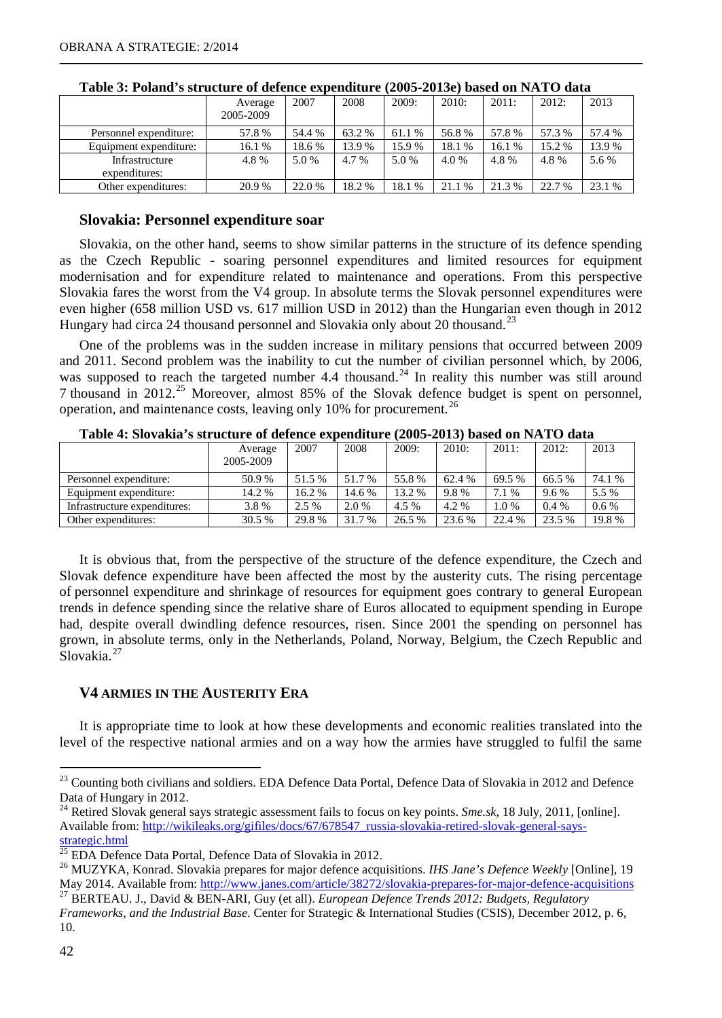|                                 | Average<br>2005-2009 | 2007   | 2008   | 2009:  | 2010:  | 2011:  | 2012:  | 2013   |
|---------------------------------|----------------------|--------|--------|--------|--------|--------|--------|--------|
| Personnel expenditure:          | 57.8%                | 54.4 % | 63.2 % | 61.1 % | 56.8%  | 57.8%  | 57.3 % | 57.4 % |
| Equipment expenditure:          | 16.1 %               | 18.6%  | 13.9%  | 15.9%  | 18.1 % | 16.1 % | 15.2 % | 13.9%  |
| Infrastructure<br>expenditures: | 4.8%                 | 5.0 %  | 4.7 %  | 5.0 %  | 4.0 %  | 4.8%   | 4.8%   | 5.6 %  |
| Other expenditures:             | 20.9%                | 22.0%  | 18.2%  | 18.1%  | 21.1 % | 21.3 % | 22.7 % | 23.1 % |

**Table 3: Poland's structure of defence expenditure (2005-2013e) based on NATO data**

# **Slovakia: Personnel expenditure soar**

Slovakia, on the other hand, seems to show similar patterns in the structure of its defence spending as the Czech Republic - soaring personnel expenditures and limited resources for equipment modernisation and for expenditure related to maintenance and operations. From this perspective Slovakia fares the worst from the V4 group. In absolute terms the Slovak personnel expenditures were even higher (658 million USD vs. 617 million USD in 2012) than the Hungarian even though in 2012 Hungary had circa 24 thousand personnel and Slovakia only about 20 thousand.<sup>[23](#page-7-0)</sup>

One of the problems was in the sudden increase in military pensions that occurred between 2009 and 2011. Second problem was the inability to cut the number of civilian personnel which, by 2006, was supposed to reach the targeted number 4.4 thousand.<sup>[24](#page-7-1)</sup> In reality this number was still around 7 thousand in 2012.<sup>[25](#page-7-2)</sup> Moreover, almost 85% of the Slovak defence budget is spent on personnel, operation, and maintenance costs, leaving only 10% for procurement.<sup>[26](#page-7-3)</sup>

|                              | Average<br>2005-2009 | 2007   | 2008   | 2009:  | 2010:  | 2011:  | 2012:   | 2013    |  |
|------------------------------|----------------------|--------|--------|--------|--------|--------|---------|---------|--|
| Personnel expenditure:       | 50.9%                | 51.5%  | 51.7 % | 55.8%  | 62.4 % | 69.5 % | 66.5%   | 74.1 %  |  |
| Equipment expenditure:       | 14.2 %               | 16.2 % | 14.6 % | 13.2 % | 9.8%   | 7.1 %  | 9.6%    | 5.5 %   |  |
| Infrastructure expenditures: | 3.8%                 | 2.5 %  | 2.0 %  | 4.5 %  | 4.2 %  | 1.0 %  | $0.4\%$ | $0.6\%$ |  |
| Other expenditures:          | 30.5 %               | 29.8%  | 31.7 % | 26.5 % | 23.6 % | 22.4 % | 23.5 %  | 19.8%   |  |

**Table 4: Slovakia's structure of defence expenditure (2005-2013) based on NATO data**

It is obvious that, from the perspective of the structure of the defence expenditure, the Czech and Slovak defence expenditure have been affected the most by the austerity cuts. The rising percentage of personnel expenditure and shrinkage of resources for equipment goes contrary to general European trends in defence spending since the relative share of Euros allocated to equipment spending in Europe had, despite overall dwindling defence resources, risen. Since 2001 the spending on personnel has grown, in absolute terms, only in the Netherlands, Poland, Norway, Belgium, the Czech Republic and Slovakia.<sup>[27](#page-7-4)</sup>

# **V4 ARMIES IN THE AUSTERITY ERA**

It is appropriate time to look at how these developments and economic realities translated into the level of the respective national armies and on a way how the armies have struggled to fulfil the same

<span id="page-7-0"></span><sup>&</sup>lt;sup>23</sup> Counting both civilians and soldiers. EDA Defence Data Portal, Defence Data of Slovakia in 2012 and Defence Data of Hungary in 2012.<br><sup>24</sup> Retired Slovak general

<span id="page-7-1"></span><sup>24</sup> Retired Slovak general says strategic assessment fails to focus on key points. *Sme.sk*, 18 July, 2011, [online]. Available from: [http://wikileaks.org/gifiles/docs/67/678547\\_russia-slovakia-retired-slovak-general-says](http://wikileaks.org/gifiles/docs/67/678547_russia-slovakia-retired-slovak-general-says-strategic.html)<u>[strategic.html](http://wikileaks.org/gifiles/docs/67/678547_russia-slovakia-retired-slovak-general-says-strategic.html)</u><br><sup>25</sup> EDA Defence Data Portal, Defence Data of Slovakia in 2012.

<span id="page-7-2"></span>

<span id="page-7-3"></span><sup>&</sup>lt;sup>26</sup> MUZYKA, Konrad. Slovakia prepares for major defence acquisitions. *IHS Jane's Defence Weekly* [Online], 19 May 2014. Available from:<http://www.janes.com/article/38272/slovakia-prepares-for-major-defence-acquisitions> <sup>27</sup> BERTEAU. J., David & BEN-ARI, Guy (et all). *European Defence Trends 2012: Budgets, Regulatory* 

<span id="page-7-4"></span>*Frameworks, and the Industrial Base*. Center for Strategic & International Studies (CSIS), December 2012, p. 6, 10.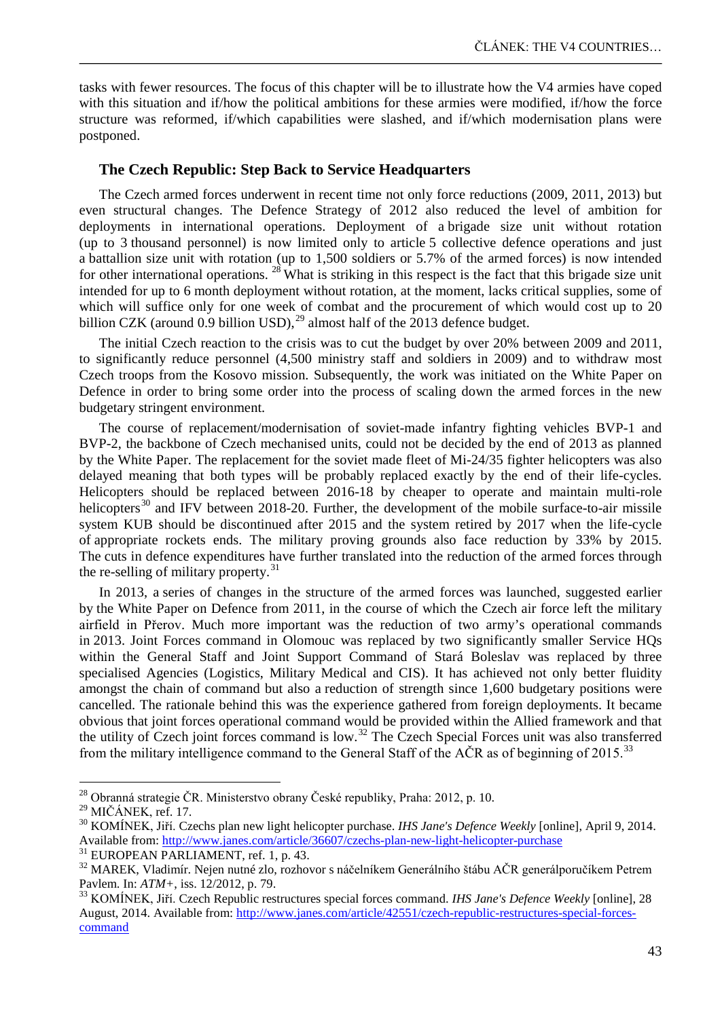tasks with fewer resources. The focus of this chapter will be to illustrate how the V4 armies have coped with this situation and if/how the political ambitions for these armies were modified, if/how the force structure was reformed, if/which capabilities were slashed, and if/which modernisation plans were postponed.

### **The Czech Republic: Step Back to Service Headquarters**

The Czech armed forces underwent in recent time not only force reductions (2009, 2011, 2013) but even structural changes. The Defence Strategy of 2012 also reduced the level of ambition for deployments in international operations. Deployment of a brigade size unit without rotation (up to 3 thousand personnel) is now limited only to article 5 collective defence operations and just a battallion size unit with rotation (up to 1,500 soldiers or 5.7% of the armed forces) is now intended for other international operations.  $^{28}$  $^{28}$  $^{28}$  What is striking in this respect is the fact that this brigade size unit intended for up to 6 month deployment without rotation, at the moment, lacks critical supplies, some of which will suffice only for one week of combat and the procurement of which would cost up to 20 billion CZK (around 0.9 billion USD),<sup>[29](#page-8-1)</sup> almost half of the 2013 defence budget.

The initial Czech reaction to the crisis was to cut the budget by over 20% between 2009 and 2011, to significantly reduce personnel (4,500 ministry staff and soldiers in 2009) and to withdraw most Czech troops from the Kosovo mission. Subsequently, the work was initiated on the White Paper on Defence in order to bring some order into the process of scaling down the armed forces in the new budgetary stringent environment.

The course of replacement/modernisation of soviet-made infantry fighting vehicles BVP-1 and BVP-2, the backbone of Czech mechanised units, could not be decided by the end of 2013 as planned by the White Paper. The replacement for the soviet made fleet of Mi-24/35 fighter helicopters was also delayed meaning that both types will be probably replaced exactly by the end of their life-cycles. Helicopters should be replaced between 2016-18 by cheaper to operate and maintain multi-role helicopters<sup>[30](#page-8-2)</sup> and IFV between 2018-20. Further, the development of the mobile surface-to-air missile system KUB should be discontinued after 2015 and the system retired by 2017 when the life-cycle of appropriate rockets ends. The military proving grounds also face reduction by 33% by 2015. The cuts in defence expenditures have further translated into the reduction of the armed forces through the re-selling of military property.<sup>[31](#page-8-3)</sup>

In 2013, a series of changes in the structure of the armed forces was launched, suggested earlier by the White Paper on Defence from 2011, in the course of which the Czech air force left the military airfield in Přerov. Much more important was the reduction of two army's operational commands in 2013. Joint Forces command in Olomouc was replaced by two significantly smaller Service HQs within the General Staff and Joint Support Command of Stará Boleslav was replaced by three specialised Agencies (Logistics, Military Medical and CIS). It has achieved not only better fluidity amongst the chain of command but also a reduction of strength since 1,600 budgetary positions were cancelled. The rationale behind this was the experience gathered from foreign deployments. It became obvious that joint forces operational command would be provided within the Allied framework and that the utility of Czech joint forces command is low.<sup>[32](#page-8-4)</sup> The Czech Special Forces unit was also transferred from the military intelligence command to the General Staff of the  $\angle ACR$  as of beginning of 2015.<sup>[33](#page-8-5)</sup>

<span id="page-8-2"></span><span id="page-8-1"></span>

<span id="page-8-0"></span><sup>&</sup>lt;sup>28</sup> Obranná strategie ČR. Ministerstvo obrany České republiky, Praha: 2012, p. 10.<br><sup>29</sup> MIČÁNEK, ref. 17.<br><sup>30</sup> KOMÍNEK, Jiří. Czechs plan new light helicopter purchase. *IHS Jane's Defence Weekly* [online], April 9, 2014. Available from: <u><http://www.janes.com/article/36607/czechs-plan-new-light-helicopter-purchase></u><br><sup>31</sup> EUROPEAN PARLIAMENT, ref. 1, p. 43.<br><sup>32</sup> MAREK, Vladimír. Nejen nutné zlo, rozhovor s náčelníkem Generálního štábu AČR gen

<span id="page-8-3"></span>

<span id="page-8-4"></span>Pavlem. In: *ATM*+, iss. 12/2012, p. 79.<br><sup>33</sup> KOMÍNEK, Jiří. Czech Republic restructures special forces command. *IHS Jane's Defence Weekly* [online], 28

<span id="page-8-5"></span>August, 2014. Available from: [http://www.janes.com/article/42551/czech-republic-restructures-special-forces](http://www.janes.com/article/42551/czech-republic-restructures-special-forces-command)[command](http://www.janes.com/article/42551/czech-republic-restructures-special-forces-command)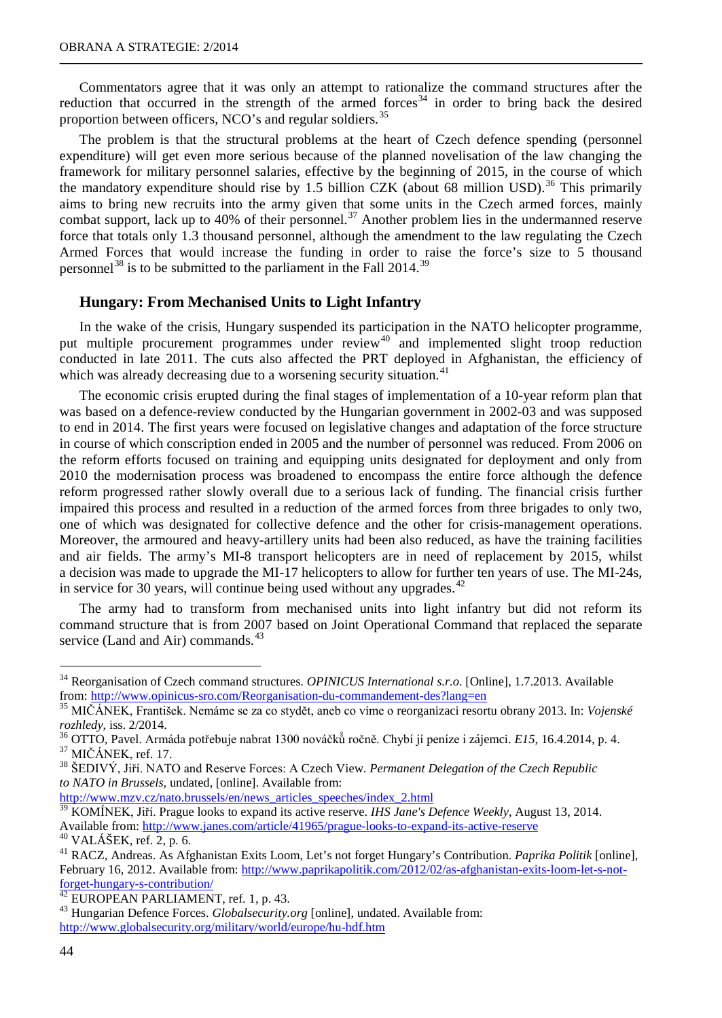Commentators agree that it was only an attempt to rationalize the command structures after the reduction that occurred in the strength of the armed forces<sup>[34](#page-9-0)</sup> in order to bring back the desired proportion between officers, NCO's and regular soldiers.<sup>[35](#page-9-1)</sup>

The problem is that the structural problems at the heart of Czech defence spending (personnel expenditure) will get even more serious because of the planned novelisation of the law changing the framework for military personnel salaries, effective by the beginning of 2015, in the course of which the mandatory expenditure should rise by 1.5 billion CZK (about 68 million USD).<sup>[36](#page-9-2)</sup> This primarily aims to bring new recruits into the army given that some units in the Czech armed forces, mainly combat support, lack up to 40% of their personnel.<sup>[37](#page-9-3)</sup> Another problem lies in the undermanned reserve force that totals only 1.3 thousand personnel, although the amendment to the law regulating the Czech Armed Forces that would increase the funding in order to raise the force's size to 5 thousand personnel<sup>[38](#page-9-4)</sup> is to be submitted to the parliament in the Fall 2014.<sup>[39](#page-9-5)</sup>

# **Hungary: From Mechanised Units to Light Infantry**

In the wake of the crisis, Hungary suspended its participation in the NATO helicopter programme, put multiple procurement programmes under review<sup>[40](#page-9-6)</sup> and implemented slight troop reduction conducted in late 2011. The cuts also affected the PRT deployed in Afghanistan, the efficiency of which was already decreasing due to a worsening security situation.<sup>[41](#page-9-7)</sup>

The economic crisis erupted during the final stages of implementation of a 10-year reform plan that was based on a defence-review conducted by the Hungarian government in 2002-03 and was supposed to end in 2014. The first years were focused on legislative changes and adaptation of the force structure in course of which conscription ended in 2005 and the number of personnel was reduced. From 2006 on the reform efforts focused on training and equipping units designated for deployment and only from 2010 the modernisation process was broadened to encompass the entire force although the defence reform progressed rather slowly overall due to a serious lack of funding. The financial crisis further impaired this process and resulted in a reduction of the armed forces from three brigades to only two, one of which was designated for collective defence and the other for crisis-management operations. Moreover, the armoured and heavy-artillery units had been also reduced, as have the training facilities and air fields. The army's MI-8 transport helicopters are in need of replacement by 2015, whilst a decision was made to upgrade the MI-17 helicopters to allow for further ten years of use. The MI-24s, in service for 30 years, will continue being used without any upgrades.  $42$ 

The army had to transform from mechanised units into light infantry but did not reform its command structure that is from 2007 based on Joint Operational Command that replaced the separate service (Land and Air) commands.<sup>[43](#page-9-9)</sup>

<span id="page-9-0"></span><sup>34</sup> Reorganisation of Czech command structures. *OPINICUS International s.r.o*. [Online], 1.7.2013. Available from: <http://www.opinicus-sro.com/Reorganisation-du-commandement-des?lang=en> <sup>35</sup> MIČÁNEK, František. Nemáme se za co stydět, aneb co víme o reorganizaci resortu obrany 2013. In: *Vojenské* 

<span id="page-9-1"></span>

<span id="page-9-2"></span>rozhledy, iss. 2/2014.<br><sup>36</sup> OTTO, Pavel. Armáda potřebuje nabrat 1300 nováčků ročně. Chybí jí peníze i zájemci. E15, 16.4.2014, p. 4.<br><sup>37</sup> MIČÁNEK, ref. 17.<br><sup>38</sup> ŠEDIVÝ, Jiří. NATO and Reserve Forces: A Czech View. *Perman* 

<span id="page-9-3"></span>

<span id="page-9-4"></span>*to NATO in Brussels*, undated, [online]. Available from:

[http://www.mzv.cz/nato.brussels/en/news\\_articles\\_speeches/index\\_2.html](http://www.mzv.cz/nato.brussels/en/news_articles_speeches/index_2.html)

<span id="page-9-5"></span><sup>&</sup>lt;sup>39</sup> KOMÍNEK, Jiří. Prague looks to expand its active reserve. *IHS Jane's Defence Weekly*, August 13, 2014. Available from:<http://www.janes.com/article/41965/prague-looks-to-expand-its-active-reserve><br><sup>40</sup> VALÁŠEK, ref. 2, p. 6.<br><sup>41</sup> RACZ, Andreas. As Afghanistan Exits Loom, Let's not forget Hungary's Contribution. *Paprika Poli* 

<span id="page-9-7"></span><span id="page-9-6"></span>February 16, 2012. Available from: [http://www.paprikapolitik.com/2012/02/as-afghanistan-exits-loom-let-s-not-](http://www.paprikapolitik.com/2012/02/as-afghanistan-exits-loom-let-s-not-forget-hungary-s-contribution/)

<span id="page-9-9"></span><span id="page-9-8"></span>

[forget-hungary-s-contribution/](http://www.paprikapolitik.com/2012/02/as-afghanistan-exits-loom-let-s-not-forget-hungary-s-contribution/) <sup>42</sup> EUROPEAN PARLIAMENT, ref. 1, p. 43. <sup>43</sup> Hungarian Defence Forces. *Globalsecurity.org* [online], undated. Available from: <http://www.globalsecurity.org/military/world/europe/hu-hdf.htm>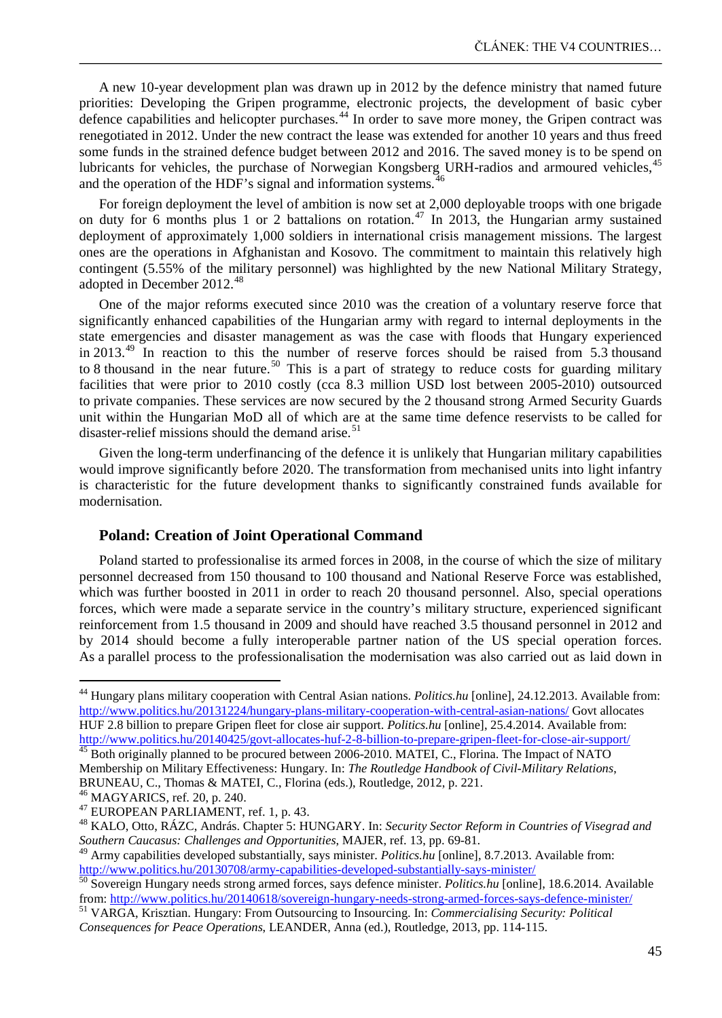A new 10-year development plan was drawn up in 2012 by the defence ministry that named future priorities: Developing the Gripen programme, electronic projects, the development of basic cyber defence capabilities and helicopter purchases.<sup>[44](#page-10-0)</sup> In order to save more money, the Gripen contract was renegotiated in 2012. Under the new contract the lease was extended for another 10 years and thus freed some funds in the strained defence budget between 2012 and 2016. The saved money is to be spend on lubricants for vehicles, the purchase of Norwegian Kongsberg URH-radios and armoured vehicles,<sup>[45](#page-10-1)</sup> and the operation of the HDF's signal and information systems.<sup>[46](#page-10-2)</sup>

For foreign deployment the level of ambition is now set at 2,000 deployable troops with one brigade on duty for 6 months plus 1 or 2 battalions on rotation.<sup>[47](#page-10-3)</sup> In 2013, the Hungarian army sustained deployment of approximately 1,000 soldiers in international crisis management missions. The largest ones are the operations in Afghanistan and Kosovo. The commitment to maintain this relatively high contingent (5.55% of the military personnel) was highlighted by the new National Military Strategy, adopted in December 2012. [48](#page-10-4)

One of the major reforms executed since 2010 was the creation of a voluntary reserve force that significantly enhanced capabilities of the Hungarian army with regard to internal deployments in the state emergencies and disaster management as was the case with floods that Hungary experienced in 2013.<sup>[49](#page-10-5)</sup> In reaction to this the number of reserve forces should be raised from 5.3 thousand to 8 thousand in the near future.<sup>[50](#page-10-6)</sup> This is a part of strategy to reduce costs for guarding military facilities that were prior to 2010 costly (cca 8.3 million USD lost between 2005-2010) outsourced to private companies. These services are now secured by the 2 thousand strong Armed Security Guards unit within the Hungarian MoD all of which are at the same time defence reservists to be called for disaster-relief missions should the demand arise. $51$ 

Given the long-term underfinancing of the defence it is unlikely that Hungarian military capabilities would improve significantly before 2020. The transformation from mechanised units into light infantry is characteristic for the future development thanks to significantly constrained funds available for modernisation.

### **Poland: Creation of Joint Operational Command**

Poland started to professionalise its armed forces in 2008, in the course of which the size of military personnel decreased from 150 thousand to 100 thousand and National Reserve Force was established, which was further boosted in 2011 in order to reach 20 thousand personnel. Also, special operations forces, which were made a separate service in the country's military structure, experienced significant reinforcement from 1.5 thousand in 2009 and should have reached 3.5 thousand personnel in 2012 and by 2014 should become a fully interoperable partner nation of the US special operation forces. As a parallel process to the professionalisation the modernisation was also carried out as laid down in

<span id="page-10-1"></span><http://www.politics.hu/20140425/govt-allocates-huf-2-8-billion-to-prepare-gripen-fleet-for-close-air-support/><br><sup>45</sup> Both originally planned to be procured between 2006-2010. MATEI, C., Florina. The Impact of NATO Membership on Military Effectiveness: Hungary. In: *The Routledge Handbook of Civil-Military Relations*, BRUNEAU, C., Thomas & MATEI, C., Florina (eds.), Routledge, 2012, p. 221.<br><sup>46</sup> MAGYARICS. ref. 20, p. 240.

<span id="page-10-0"></span><sup>44</sup> Hungary plans military cooperation with Central Asian nations. *Politics.hu* [online], 24.12.2013. Available from: <http://www.politics.hu/20131224/hungary-plans-military-cooperation-with-central-asian-nations/> Govt allocates HUF 2.8 billion to prepare Gripen fleet for close air support. *Politics.hu* [online], 25.4.2014. Available from:

<span id="page-10-2"></span>

<span id="page-10-3"></span><sup>&</sup>lt;sup>47</sup> EUROPEAN PARLIAMENT, ref. 1, p. 43.<br><sup>48</sup> KALO, Otto, RÁZC, András. Chapter 5: HUNGARY. In: *Security Sector Reform in Countries of Visegrad and* 

<span id="page-10-5"></span><span id="page-10-4"></span>*Southern Caucasus: Challenges and Opportunities*, MAJER, ref. 13, pp. 69-81.<br><sup>49</sup> Army capabilities developed substantially, says minister. *Politics.hu* [online], 8.7.2013. Available from:<br>http://www.politics.hu/20130708

<span id="page-10-6"></span><sup>&</sup>lt;sup>50</sup> Sovereign Hungary needs strong armed forces, says defence minister. *Politics.hu* [online], 18.6.2014. Available from:<http://www.politics.hu/20140618/sovereign-hungary-needs-strong-armed-forces-says-defence-minister/> <sup>51</sup> VARGA, Krisztian. Hungary: From Outsourcing to Insourcing. In: *Commercialising Security: Political* 

<span id="page-10-7"></span>*Consequences for Peace Operations*, LEANDER, Anna (ed.), Routledge, 2013, pp. 114-115.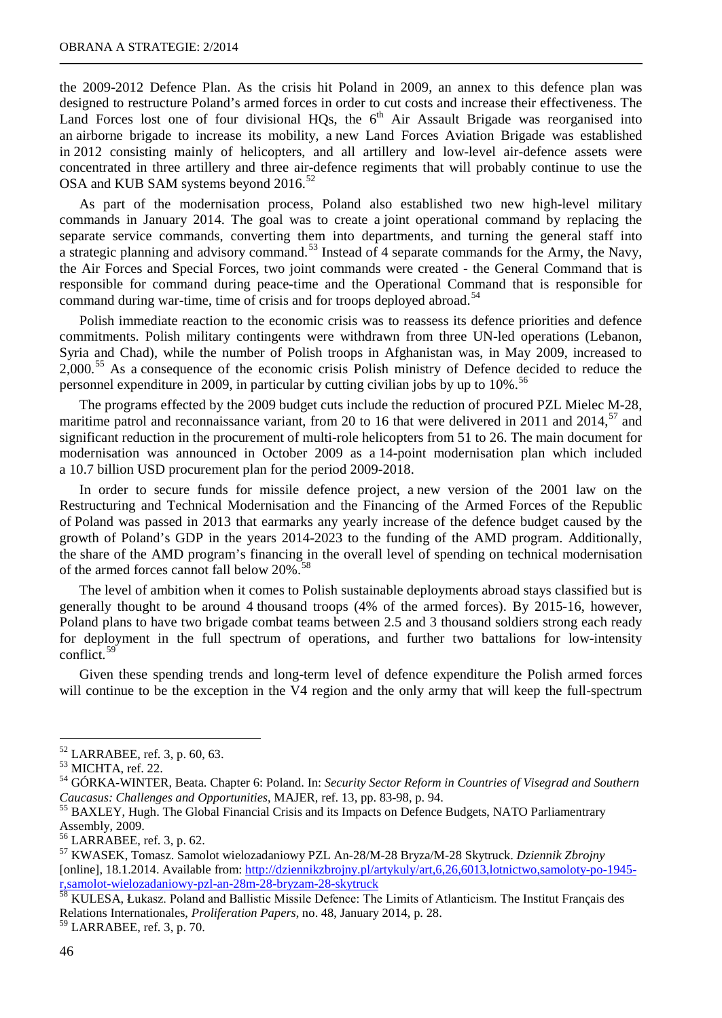the 2009-2012 Defence Plan. As the crisis hit Poland in 2009, an annex to this defence plan was designed to restructure Poland's armed forces in order to cut costs and increase their effectiveness. The Land Forces lost one of four divisional HQs, the  $6<sup>th</sup>$  Air Assault Brigade was reorganised into an airborne brigade to increase its mobility, a new Land Forces Aviation Brigade was established in 2012 consisting mainly of helicopters, and all artillery and low-level air-defence assets were concentrated in three artillery and three air-defence regiments that will probably continue to use the OSA and KUB SAM systems beyond 2016.<sup>[52](#page-11-0)</sup>

As part of the modernisation process, Poland also established two new high-level military commands in January 2014. The goal was to create a joint operational command by replacing the separate service commands, converting them into departments, and turning the general staff into a strategic planning and advisory command.<sup>[53](#page-11-1)</sup> Instead of 4 separate commands for the Army, the Navy, the Air Forces and Special Forces, two joint commands were created - the General Command that is responsible for command during peace-time and the Operational Command that is responsible for command during war-time, time of crisis and for troops deployed abroad.<sup>[54](#page-11-2)</sup>

Polish immediate reaction to the economic crisis was to reassess its defence priorities and defence commitments. Polish military contingents were withdrawn from three UN-led operations (Lebanon, Syria and Chad), while the number of Polish troops in Afghanistan was, in May 2009, increased to 2,000.<sup>[55](#page-11-3)</sup> As a consequence of the economic crisis Polish ministry of Defence decided to reduce the personnel expenditure in 2009, in particular by cutting civilian jobs by up to 10%.<sup>[56](#page-11-4)</sup>

The programs effected by the 2009 budget cuts include the reduction of procured PZL Mielec M-28, maritime patrol and reconnaissance variant, from 20 to 16 that were delivered in 2011 and 2014,<sup>[57](#page-11-5)</sup> and significant reduction in the procurement of multi-role helicopters from 51 to 26. The main document for modernisation was announced in October 2009 as a 14-point modernisation plan which included a 10.7 billion USD procurement plan for the period 2009-2018.

In order to secure funds for missile defence project, a new version of the 2001 law on the Restructuring and Technical Modernisation and the Financing of the Armed Forces of the Republic of Poland was passed in 2013 that earmarks any yearly increase of the defence budget caused by the growth of Poland's GDP in the years 2014-2023 to the funding of the AMD program. Additionally, the share of the AMD program's financing in the overall level of spending on technical modernisation of the armed forces cannot fall below 20%.<sup>[58](#page-11-6)</sup>

The level of ambition when it comes to Polish sustainable deployments abroad stays classified but is generally thought to be around 4 thousand troops (4% of the armed forces). By 2015-16, however, Poland plans to have two brigade combat teams between 2.5 and 3 thousand soldiers strong each ready for deployment in the full spectrum of operations, and further two battalions for low-intensity conflict.<sup>[59](#page-11-7)</sup>

Given these spending trends and long-term level of defence expenditure the Polish armed forces will continue to be the exception in the V4 region and the only army that will keep the full-spectrum

<span id="page-11-0"></span> $52$  LARRABEE, ref. 3, p. 60, 63.

<span id="page-11-2"></span><span id="page-11-1"></span><sup>&</sup>lt;sup>53</sup> MICHTA, ref. 22.<br><sup>54</sup> GÓRKA-WINTER, Beata. Chapter 6: Poland. In: *Security Sector Reform in Countries of Visegrad and Southern Caucasus: Challenges and Opportunities*, MAJER, ref. 13, pp. 83-98, p. 94.<br><sup>55</sup> BAXLEY, Hugh. The Global Financial Crisis and its Impacts on Defence Budgets, NATO Parliamentrary

<span id="page-11-3"></span>Assembly, 2009.<br><sup>56</sup> LARRABEE, ref. 3, p. 62.

<span id="page-11-5"></span><span id="page-11-4"></span><sup>57</sup> KWASEK, Tomasz. Samolot wielozadaniowy PZL An-28/M-28 Bryza/M-28 Skytruck. *Dziennik Zbrojny* [online], 18.1.2014. Available from: [http://dziennikzbrojny.pl/artykuly/art,6,26,6013,lotnictwo,samoloty-po-1945](http://dziennikzbrojny.pl/artykuly/art,6,26,6013,lotnictwo,samoloty-po-1945-r,samolot-wielozadaniowy-pzl-an-28m-28-bryzam-28-skytruck) [r,samolot-wielozadaniowy-pzl-an-28m-28-bryzam-28-skytruck](http://dziennikzbrojny.pl/artykuly/art,6,26,6013,lotnictwo,samoloty-po-1945-r,samolot-wielozadaniowy-pzl-an-28m-28-bryzam-28-skytruck)<br><sup>58</sup> KULESA, Łukasz. Poland and Ballistic Missile Defence: The Limits of Atlanticism. The Institut Français des

<span id="page-11-6"></span>Relations Internationales, *Proliferation Papers*, no. 48, January 2014, p. 28. <sup>59</sup> LARRABEE, ref. 3, p. 70.

<span id="page-11-7"></span>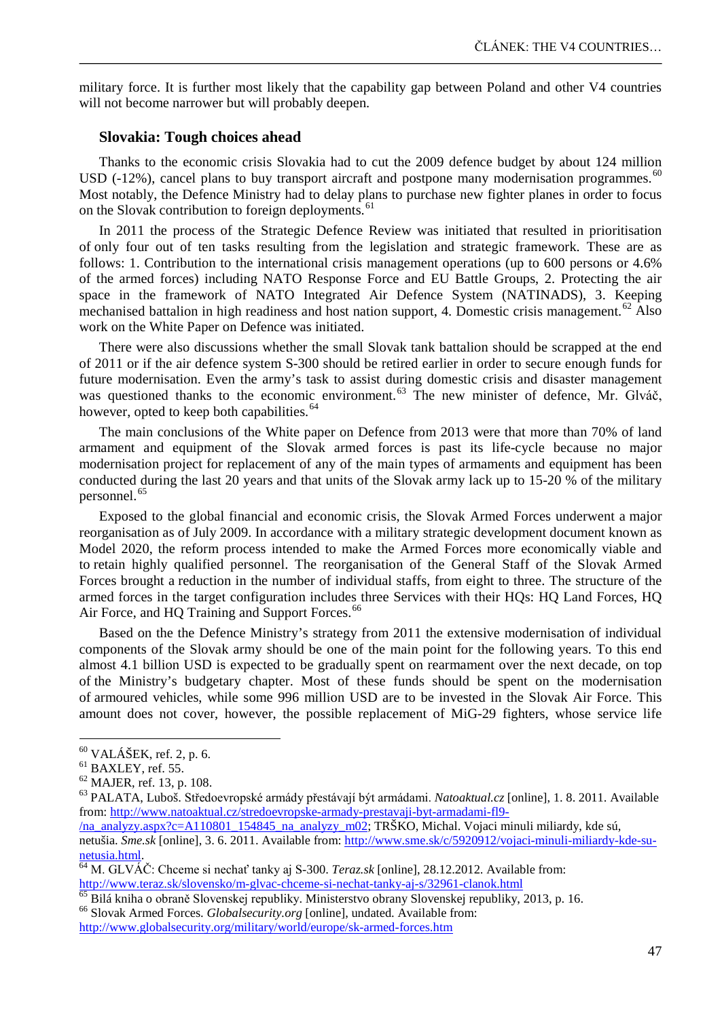military force. It is further most likely that the capability gap between Poland and other V4 countries will not become narrower but will probably deepen.

# **Slovakia: Tough choices ahead**

Thanks to the economic crisis Slovakia had to cut the 2009 defence budget by about 124 million USD (-12%), cancel plans to buy transport aircraft and postpone many modernisation programmes.<sup>[60](#page-12-0)</sup> Most notably, the Defence Ministry had to delay plans to purchase new fighter planes in order to focus on the Slovak contribution to foreign deployments.<sup>[61](#page-12-1)</sup>

In 2011 the process of the Strategic Defence Review was initiated that resulted in prioritisation of only four out of ten tasks resulting from the legislation and strategic framework. These are as follows: 1. Contribution to the international crisis management operations (up to 600 persons or 4.6% of the armed forces) including NATO Response Force and EU Battle Groups, 2. Protecting the air space in the framework of NATO Integrated Air Defence System (NATINADS), 3. Keeping mechanised battalion in high readiness and host nation support, 4. Domestic crisis management.<sup>[62](#page-12-2)</sup> Also work on the White Paper on Defence was initiated.

There were also discussions whether the small Slovak tank battalion should be scrapped at the end of 2011 or if the air defence system S-300 should be retired earlier in order to secure enough funds for future modernisation. Even the army's task to assist during domestic crisis and disaster management was questioned thanks to the economic environment.<sup>[63](#page-12-3)</sup> The new minister of defence, Mr. Glváč, however, opted to keep both capabilities.<sup>[64](#page-12-4)</sup>

The main conclusions of the White paper on Defence from 2013 were that more than 70% of land armament and equipment of the Slovak armed forces is past its life-cycle because no major modernisation project for replacement of any of the main types of armaments and equipment has been conducted during the last 20 years and that units of the Slovak army lack up to 15-20 % of the military personnel.<sup>[65](#page-12-5)</sup>

Exposed to the global financial and economic crisis, the Slovak Armed Forces underwent a major reorganisation as of July 2009. In accordance with a military strategic development document known as Model 2020, the reform process intended to make the Armed Forces more economically viable and to retain highly qualified personnel. The reorganisation of the General Staff of the Slovak Armed Forces brought a reduction in the number of individual staffs, from eight to three. The structure of the armed forces in the target configuration includes three Services with their HQs: HQ Land Forces, HQ Air Force, and HQ Training and Support Forces.<sup>[66](#page-12-6)</sup>

Based on the the Defence Ministry's strategy from 2011 the extensive modernisation of individual components of the Slovak army should be one of the main point for the following years. To this end almost 4.1 billion USD is expected to be gradually spent on rearmament over the next decade, on top of the Ministry's budgetary chapter. Most of these funds should be spent on the modernisation of armoured vehicles, while some 996 million USD are to be invested in the Slovak Air Force. This amount does not cover, however, the possible replacement of MiG-29 fighters, whose service life

 $60$  VALÁŠEK, ref. 2, p. 6.

<span id="page-12-3"></span>

<span id="page-12-2"></span><span id="page-12-1"></span><span id="page-12-0"></span><sup>&</sup>lt;sup>61</sup> BAXLEY, ref. 55. <sup>2</sup><br><sup>62</sup> MAJER, ref. 13, p. 108.<br><sup>63</sup> PALATA, Luboš. Středoevropské armády přestávají být armádami. *Natoaktual.cz* [online], 1. 8. 2011. Available from: [http://www.natoaktual.cz/stredoevropske-armady-prestavaji-byt-armadami-fl9-](http://www.natoaktual.cz/stredoevropske-armady-prestavaji-byt-armadami-fl9-/na_analyzy.aspx?c=A110801_154845_na_analyzy_m02)

[<sup>/</sup>na\\_analyzy.aspx?c=A110801\\_154845\\_na\\_analyzy\\_m02;](http://www.natoaktual.cz/stredoevropske-armady-prestavaji-byt-armadami-fl9-/na_analyzy.aspx?c=A110801_154845_na_analyzy_m02) TRŠKO, Michal. Vojaci minuli miliardy, kde sú,

netušia. *Sme.sk* [online], 3. 6. 2011. Available from: [http://www.sme.sk/c/5920912/vojaci-minuli-miliardy-kde-su](http://www.sme.sk/c/5920912/vojaci-minuli-miliardy-kde-su-netusia.html)[netusia.html.](http://www.sme.sk/c/5920912/vojaci-minuli-miliardy-kde-su-netusia.html)<br><sup>64</sup> M. GLVÁČ: Chceme si nechať tanky aj S-300. *Teraz.sk* [online], 28.12.2012. Available from:

<span id="page-12-4"></span><http://www.teraz.sk/slovensko/m-glvac-chceme-si-nechat-tanky-aj-s/32961-clanok.html><br><sup>65</sup> Bilá kniha o obraně Slovenskej republiky. Ministerstvo obrany Slovenskej republiky, 2013, p. 16.<br><sup>66</sup> Slovak Armed Forces. *Globalsec* 

<span id="page-12-5"></span>

<span id="page-12-6"></span>

<http://www.globalsecurity.org/military/world/europe/sk-armed-forces.htm>